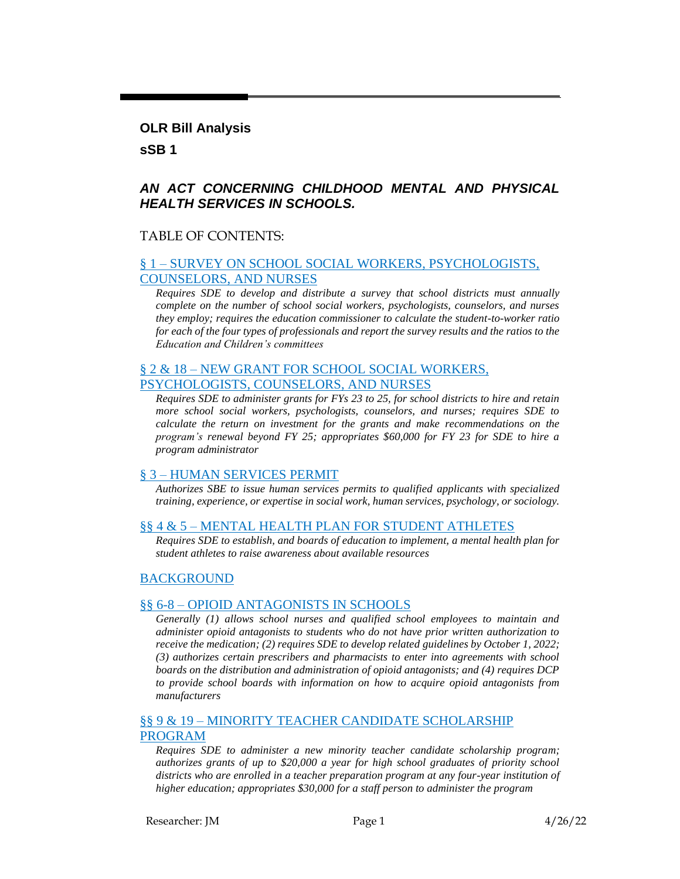### **OLR Bill Analysis**

**sSB 1**

### *AN ACT CONCERNING CHILDHOOD MENTAL AND PHYSICAL HEALTH SERVICES IN SCHOOLS.*

### TABLE OF CONTENTS:

### § 1 – [SURVEY ON SCHOOL SOCIAL WORKERS, PSYCHOLOGISTS,](#page-2-0)  [COUNSELORS, AND NURSES](#page-2-0)

*[Requires SDE to develop and distribute a survey that school districts must annually](#page-2-1)  [complete on the number of school social workers, psychologists, counselors, and nurses](#page-2-1)  [they employ; requires the education commissioner to calculate the student-to-worker ratio](#page-2-1)  [for each of the four types of professionals and report the survey results and the ratios to the](#page-2-1)  [Education and Children's committees](#page-2-1)*

### § 2 & 18 – [NEW GRANT FOR SCHOOL SOCIAL WORKERS,](#page-3-0)  [PSYCHOLOGISTS, COUNSELORS, AND NURSES](#page-3-0)

*[Requires SDE to administer grants for FYs 23 to 25, for school districts to hire and retain](#page-3-1)  [more school social workers, psychologists, counselors, and nurses; requires SDE to](#page-3-1)  [calculate the return on investment for the grants and make recommendations on the](#page-3-1)  [program's renewal beyond FY 25; appropriates \\$60,000 for FY 23 for SDE to hire a](#page-3-1)  [program administrator](#page-3-1)*

### § 3 – [HUMAN SERVICES PERMIT](#page-5-0)

*[Authorizes SBE to issue human services permits to qualified applicants with specialized](#page-5-1)  [training, experience, or expertise in social work, human services, psychology, or sociology.](#page-5-1)*

### §§ 4 & 5 – [MENTAL HEALTH PLAN FOR STUDENT ATHLETES](#page-6-0)

*[Requires SDE to establish, and boards of education to implement, a mental health plan for](#page-6-1)  [student athletes to raise awareness about available resources](#page-6-1)*

### [BACKGROUND](#page-7-0)

### §§ 6-8 – [OPIOID ANTAGONISTS IN SCHOOLS](#page-7-1)

*[Generally \(1\) allows school nurses and qualified school employees to maintain and](#page-7-2)  [administer opioid antagonists to students who do not have prior written authorization to](#page-7-2)  [receive the medication; \(2\) requires SDE to develop related guidelines by October 1, 2022;](#page-7-2)  [\(3\) authorizes certain prescribers and pharmacists to enter into agreements with school](#page-7-2)  [boards on the distribution and administration of opioid antagonists; and \(4\) requires DCP](#page-7-2)  [to provide school boards with information on how to acquire opioid antagonists from](#page-7-2)  [manufacturers](#page-7-2)*

### §§ 9 & 19 – [MINORITY TEACHER CANDIDATE SCHOLARSHIP](#page-9-0)  [PROGRAM](#page-9-0)

*[Requires SDE to administer a new minority teacher candidate scholarship program;](#page-9-1)  [authorizes grants of up to \\$20,000 a year for high school graduates of priority school](#page-9-1)  [districts who are enrolled in a teacher preparation program at any four-year institution of](#page-9-1)  [higher education; appropriates \\$30,000 for a staff person to administer the program](#page-9-1)*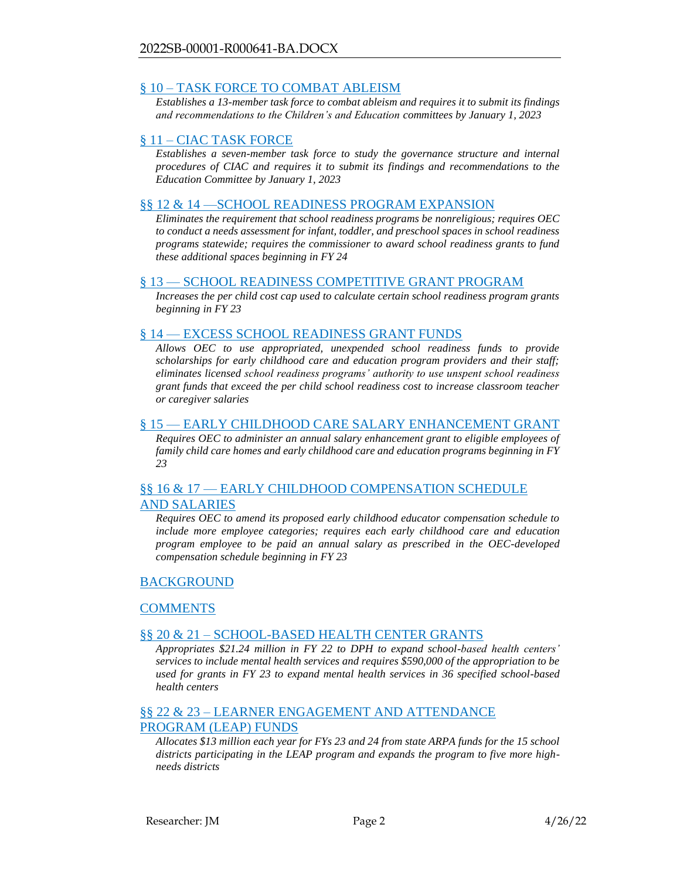### § 10 – [TASK FORCE TO COMBAT ABLEISM](#page-11-0)

*[Establishes a 13-member task force to combat ableism and requires it to submit its findings](#page-11-1)  [and recommendations to the Children's and Education committees by January 1, 2023](#page-11-1)*

### § 11 – [CIAC TASK FORCE](#page-12-0)

*[Establishes a seven-member task force to study the governance structure and internal](#page-12-1)  [procedures of CIAC and requires it to submit its findings and recommendations to the](#page-12-1)  [Education Committee by January 1, 2023](#page-12-1)*

#### [§§ 12 & 14 —SCHOOL READINESS PROGRAM EXPANSION](#page-13-0)

*[Eliminates the requirement that school readiness programs be nonreligious; requires OEC](#page-13-1)  [to conduct a needs assessment for infant, toddler, and preschool spaces in school readiness](#page-13-1)  [programs statewide; requires the commissioner to award school readiness grants to fund](#page-13-1)  [these additional spaces beginning in FY 24](#page-13-1)*

#### § 13 — [SCHOOL READINESS COMPETITIVE GRANT PROGRAM](#page-15-0)

*[Increases the per child cost cap used to calculate certain school readiness program grants](#page-15-1)  [beginning in FY 23](#page-15-1)*

### § 14 — [EXCESS SCHOOL READINESS GRANT FUNDS](#page-15-2)

*[Allows OEC to use appropriated, unexpended school readiness funds to provide](#page-15-3)  [scholarships for early childhood care and education program providers and their staff;](#page-15-3)  [eliminates licensed school readiness programs' authority to use unspent school readiness](#page-15-3)  [grant funds that exceed the per child school readiness cost to increase classroom teacher](#page-15-3)  [or caregiver salaries](#page-15-3)*

#### § 15 — [EARLY CHILDHOOD CARE SALARY ENHANCEMENT GRANT](#page-16-0)

*[Requires OEC to administer an annual salary enhancement grant to eligible employees of](#page-16-1)  [family child care homes and early childhood care and education programs beginning in FY](#page-16-1)  [23](#page-16-1)*

### §§ 16 & 17 — [EARLY CHILDHOOD COMPENSATION SCHEDULE](#page-18-0)  [AND SALARIES](#page-18-0)

*[Requires OEC to amend its proposed early childhood educator compensation schedule to](#page-18-1)  [include more employee categories; requires each early childhood care and education](#page-18-1)  [program employee to be paid an annual salary as prescribed in the OEC-developed](#page-18-1)  [compensation schedule beginning in FY 23](#page-18-1)*

### [BACKGROUND](#page-20-0)

**[COMMENTS](#page-21-0)** 

### §§ 20 & 21 – [SCHOOL-BASED HEALTH CENTER GRANTS](#page-22-0)

*[Appropriates \\$21.24 million in FY 22 to DPH to expand school-based health centers'](#page-22-1)  [services to include mental health services and requires \\$590,000 of the appropriation to be](#page-22-1)  [used for grants in FY 23 to expand mental health services in 36 specified school-based](#page-22-1)  [health centers](#page-22-1)*

### §§ 22 & 23 – [LEARNER ENGAGEMENT AND ATTENDANCE](#page-22-2)  [PROGRAM \(LEAP\) FUNDS](#page-22-2)

*[Allocates \\$13 million each year for FYs 23 and 24 from state ARPA funds for the 15 school](#page-22-3)  [districts participating in the LEAP program and expands the program to five more high](#page-22-3)[needs districts](#page-22-3)*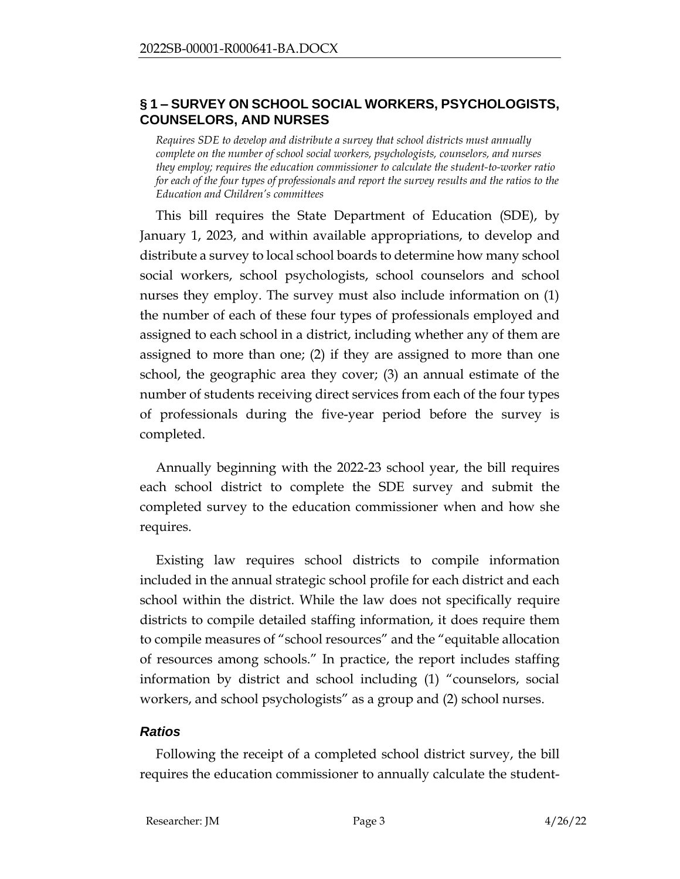## <span id="page-2-0"></span>**§ 1 – SURVEY ON SCHOOL SOCIAL WORKERS, PSYCHOLOGISTS, COUNSELORS, AND NURSES**

<span id="page-2-1"></span>*Requires SDE to develop and distribute a survey that school districts must annually complete on the number of school social workers, psychologists, counselors, and nurses they employ; requires the education commissioner to calculate the student-to-worker ratio for each of the four types of professionals and report the survey results and the ratios to the Education and Children's committees*

This bill requires the State Department of Education (SDE), by January 1, 2023, and within available appropriations, to develop and distribute a survey to local school boards to determine how many school social workers, school psychologists, school counselors and school nurses they employ. The survey must also include information on (1) the number of each of these four types of professionals employed and assigned to each school in a district, including whether any of them are assigned to more than one; (2) if they are assigned to more than one school, the geographic area they cover; (3) an annual estimate of the number of students receiving direct services from each of the four types of professionals during the five-year period before the survey is completed.

Annually beginning with the 2022-23 school year, the bill requires each school district to complete the SDE survey and submit the completed survey to the education commissioner when and how she requires.

Existing law requires school districts to compile information included in the annual strategic school profile for each district and each school within the district. While the law does not specifically require districts to compile detailed staffing information, it does require them to compile measures of "school resources" and the "equitable allocation of resources among schools." In practice, the report includes staffing information by district and school including (1) "counselors, social workers, and school psychologists" as a group and (2) school nurses.

### *Ratios*

Following the receipt of a completed school district survey, the bill requires the education commissioner to annually calculate the student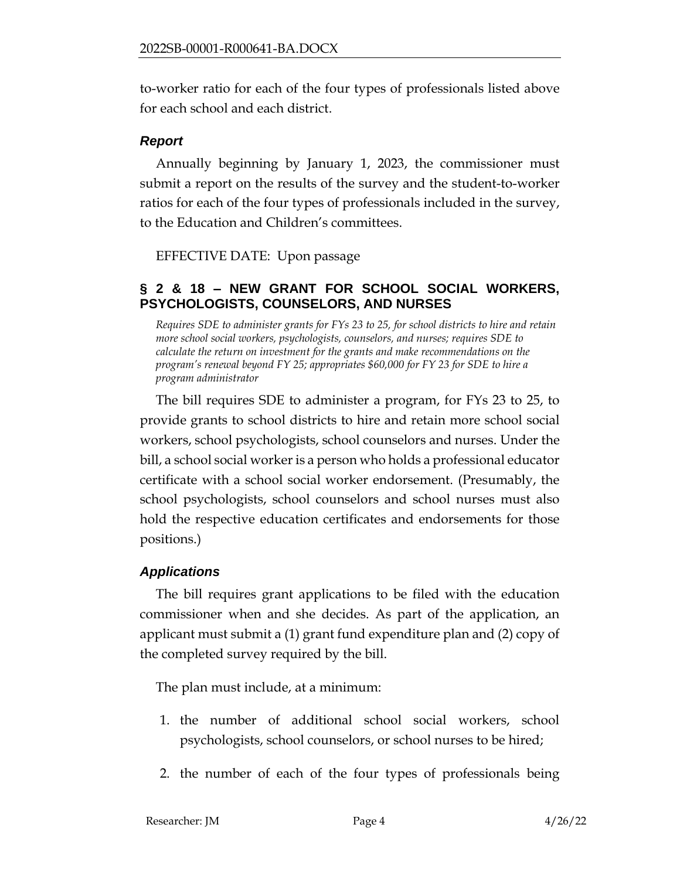to-worker ratio for each of the four types of professionals listed above for each school and each district.

## *Report*

Annually beginning by January 1, 2023, the commissioner must submit a report on the results of the survey and the student-to-worker ratios for each of the four types of professionals included in the survey, to the Education and Children's committees.

EFFECTIVE DATE: Upon passage

# <span id="page-3-0"></span>**§ 2 & 18 – NEW GRANT FOR SCHOOL SOCIAL WORKERS, PSYCHOLOGISTS, COUNSELORS, AND NURSES**

<span id="page-3-1"></span>*Requires SDE to administer grants for FYs 23 to 25, for school districts to hire and retain more school social workers, psychologists, counselors, and nurses; requires SDE to calculate the return on investment for the grants and make recommendations on the program's renewal beyond FY 25; appropriates \$60,000 for FY 23 for SDE to hire a program administrator* 

The bill requires SDE to administer a program, for FYs 23 to 25, to provide grants to school districts to hire and retain more school social workers, school psychologists, school counselors and nurses. Under the bill, a school social worker is a person who holds a professional educator certificate with a school social worker endorsement. (Presumably, the school psychologists, school counselors and school nurses must also hold the respective education certificates and endorsements for those positions.)

# *Applications*

The bill requires grant applications to be filed with the education commissioner when and she decides. As part of the application, an applicant must submit a (1) grant fund expenditure plan and (2) copy of the completed survey required by the bill.

The plan must include, at a minimum:

- 1. the number of additional school social workers, school psychologists, school counselors, or school nurses to be hired;
- 2. the number of each of the four types of professionals being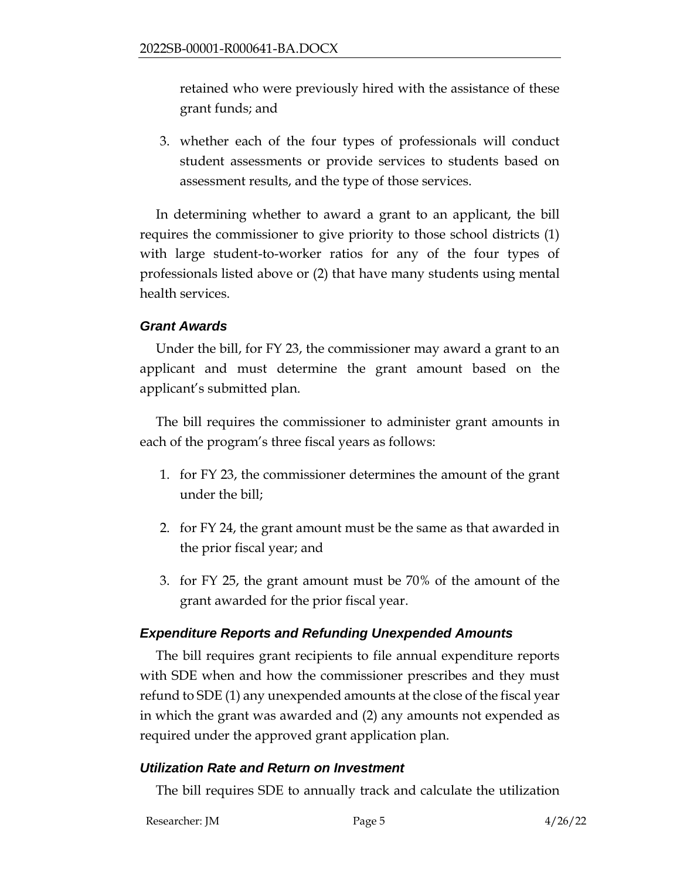retained who were previously hired with the assistance of these grant funds; and

3. whether each of the four types of professionals will conduct student assessments or provide services to students based on assessment results, and the type of those services.

In determining whether to award a grant to an applicant, the bill requires the commissioner to give priority to those school districts (1) with large student-to-worker ratios for any of the four types of professionals listed above or (2) that have many students using mental health services.

## *Grant Awards*

Under the bill, for FY 23, the commissioner may award a grant to an applicant and must determine the grant amount based on the applicant's submitted plan.

The bill requires the commissioner to administer grant amounts in each of the program's three fiscal years as follows:

- 1. for FY 23, the commissioner determines the amount of the grant under the bill;
- 2. for FY 24, the grant amount must be the same as that awarded in the prior fiscal year; and
- 3. for FY 25, the grant amount must be 70% of the amount of the grant awarded for the prior fiscal year.

### *Expenditure Reports and Refunding Unexpended Amounts*

The bill requires grant recipients to file annual expenditure reports with SDE when and how the commissioner prescribes and they must refund to SDE (1) any unexpended amounts at the close of the fiscal year in which the grant was awarded and (2) any amounts not expended as required under the approved grant application plan.

### *Utilization Rate and Return on Investment*

The bill requires SDE to annually track and calculate the utilization

Researcher: JM Page 5 4/26/22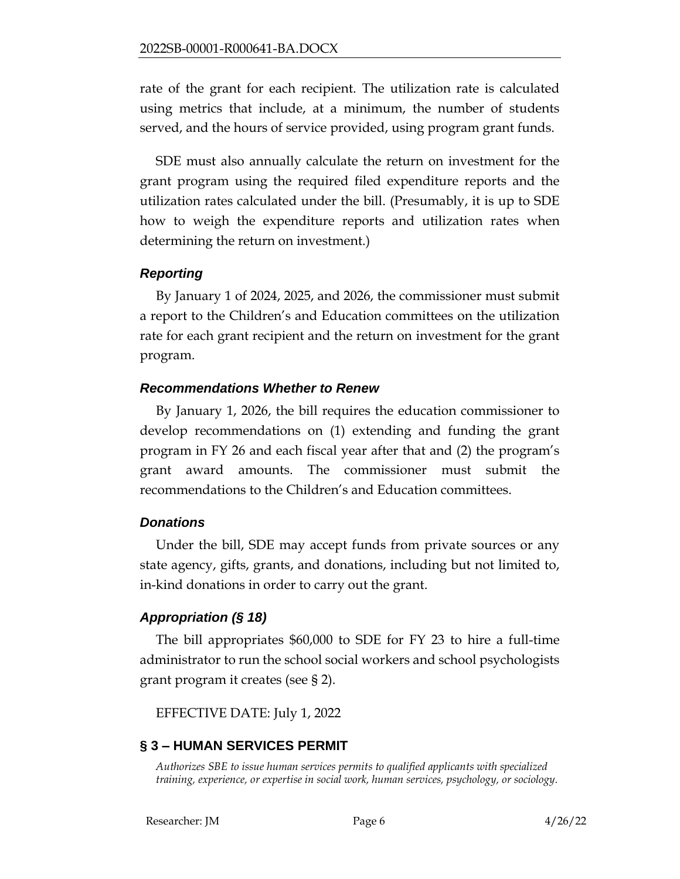rate of the grant for each recipient. The utilization rate is calculated using metrics that include, at a minimum, the number of students served, and the hours of service provided, using program grant funds.

SDE must also annually calculate the return on investment for the grant program using the required filed expenditure reports and the utilization rates calculated under the bill. (Presumably, it is up to SDE how to weigh the expenditure reports and utilization rates when determining the return on investment.)

## *Reporting*

By January 1 of 2024, 2025, and 2026, the commissioner must submit a report to the Children's and Education committees on the utilization rate for each grant recipient and the return on investment for the grant program.

## *Recommendations Whether to Renew*

By January 1, 2026, the bill requires the education commissioner to develop recommendations on (1) extending and funding the grant program in FY 26 and each fiscal year after that and (2) the program's grant award amounts. The commissioner must submit the recommendations to the Children's and Education committees.

# *Donations*

Under the bill, SDE may accept funds from private sources or any state agency, gifts, grants, and donations, including but not limited to, in-kind donations in order to carry out the grant.

# *Appropriation (§ 18)*

The bill appropriates \$60,000 to SDE for FY 23 to hire a full-time administrator to run the school social workers and school psychologists grant program it creates (see § 2).

EFFECTIVE DATE: July 1, 2022

# <span id="page-5-0"></span>**§ 3 – HUMAN SERVICES PERMIT**

<span id="page-5-1"></span>*Authorizes SBE to issue human services permits to qualified applicants with specialized training, experience, or expertise in social work, human services, psychology, or sociology.*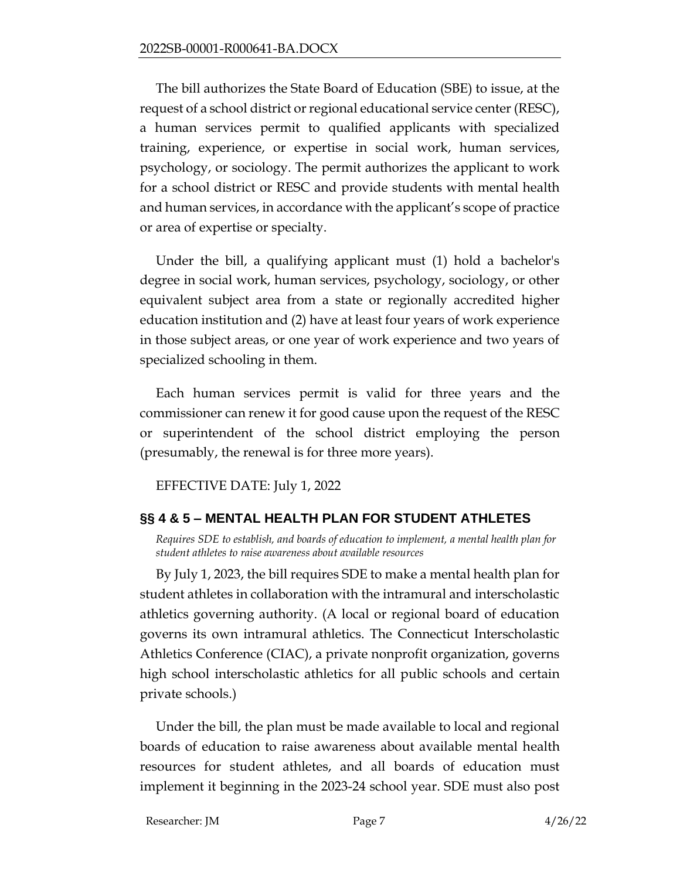The bill authorizes the State Board of Education (SBE) to issue, at the request of a school district or regional educational service center (RESC), a human services permit to qualified applicants with specialized training, experience, or expertise in social work, human services, psychology, or sociology. The permit authorizes the applicant to work for a school district or RESC and provide students with mental health and human services, in accordance with the applicant's scope of practice or area of expertise or specialty.

Under the bill, a qualifying applicant must (1) hold a bachelor's degree in social work, human services, psychology, sociology, or other equivalent subject area from a state or regionally accredited higher education institution and (2) have at least four years of work experience in those subject areas, or one year of work experience and two years of specialized schooling in them.

Each human services permit is valid for three years and the commissioner can renew it for good cause upon the request of the RESC or superintendent of the school district employing the person (presumably, the renewal is for three more years).

EFFECTIVE DATE: July 1, 2022

# <span id="page-6-0"></span>**§§ 4 & 5 – MENTAL HEALTH PLAN FOR STUDENT ATHLETES**

<span id="page-6-1"></span>*Requires SDE to establish, and boards of education to implement, a mental health plan for student athletes to raise awareness about available resources*

By July 1, 2023, the bill requires SDE to make a mental health plan for student athletes in collaboration with the intramural and interscholastic athletics governing authority. (A local or regional board of education governs its own intramural athletics. The Connecticut Interscholastic Athletics Conference (CIAC), a private nonprofit organization, governs high school interscholastic athletics for all public schools and certain private schools.)

Under the bill, the plan must be made available to local and regional boards of education to raise awareness about available mental health resources for student athletes, and all boards of education must implement it beginning in the 2023-24 school year. SDE must also post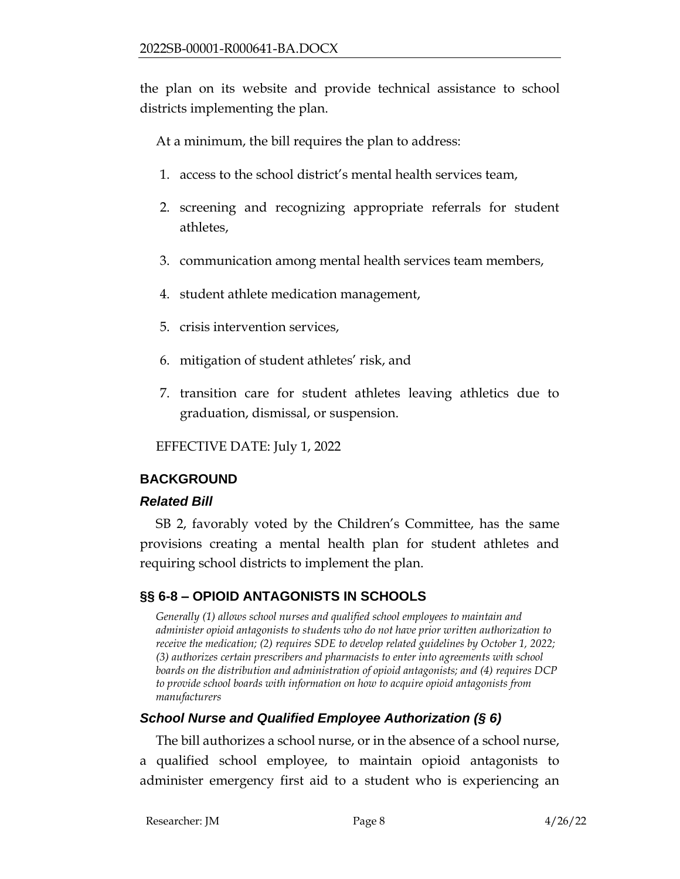the plan on its website and provide technical assistance to school districts implementing the plan.

At a minimum, the bill requires the plan to address:

- 1. access to the school district's mental health services team,
- 2. screening and recognizing appropriate referrals for student athletes,
- 3. communication among mental health services team members,
- 4. student athlete medication management,
- 5. crisis intervention services,
- 6. mitigation of student athletes' risk, and
- 7. transition care for student athletes leaving athletics due to graduation, dismissal, or suspension.

EFFECTIVE DATE: July 1, 2022

# <span id="page-7-0"></span>**BACKGROUND**

### *Related Bill*

SB 2, favorably voted by the Children's Committee, has the same provisions creating a mental health plan for student athletes and requiring school districts to implement the plan.

# <span id="page-7-1"></span>**§§ 6-8 – OPIOID ANTAGONISTS IN SCHOOLS**

<span id="page-7-2"></span>*Generally (1) allows school nurses and qualified school employees to maintain and administer opioid antagonists to students who do not have prior written authorization to receive the medication; (2) requires SDE to develop related guidelines by October 1, 2022; (3) authorizes certain prescribers and pharmacists to enter into agreements with school boards on the distribution and administration of opioid antagonists; and (4) requires DCP to provide school boards with information on how to acquire opioid antagonists from manufacturers*

# *School Nurse and Qualified Employee Authorization (§ 6)*

The bill authorizes a school nurse, or in the absence of a school nurse, a qualified school employee, to maintain opioid antagonists to administer emergency first aid to a student who is experiencing an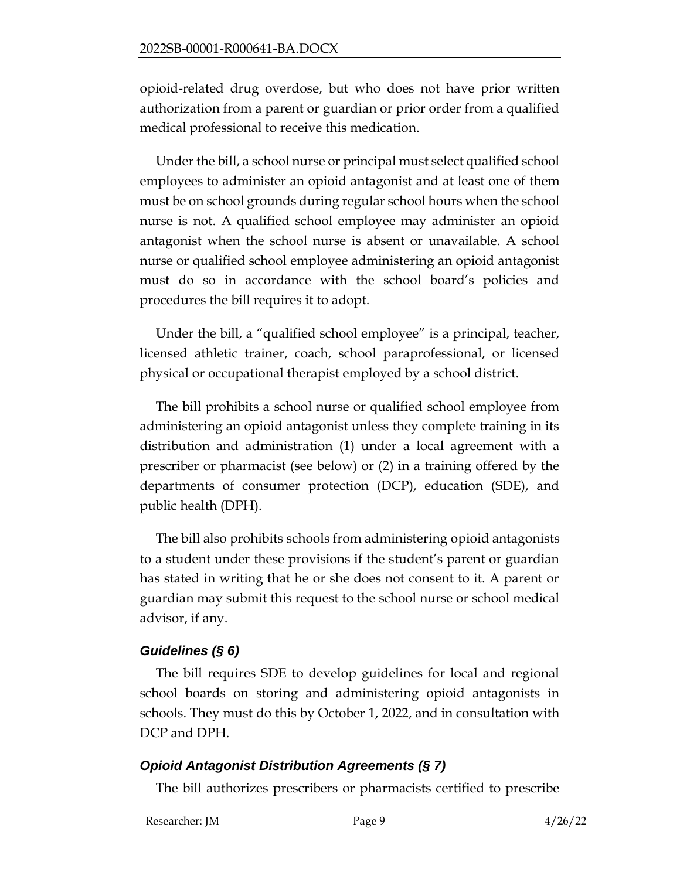opioid-related drug overdose, but who does not have prior written authorization from a parent or guardian or prior order from a qualified medical professional to receive this medication.

Under the bill, a school nurse or principal must select qualified school employees to administer an opioid antagonist and at least one of them must be on school grounds during regular school hours when the school nurse is not. A qualified school employee may administer an opioid antagonist when the school nurse is absent or unavailable. A school nurse or qualified school employee administering an opioid antagonist must do so in accordance with the school board's policies and procedures the bill requires it to adopt.

Under the bill, a "qualified school employee" is a principal, teacher, licensed athletic trainer, coach, school paraprofessional, or licensed physical or occupational therapist employed by a school district.

The bill prohibits a school nurse or qualified school employee from administering an opioid antagonist unless they complete training in its distribution and administration (1) under a local agreement with a prescriber or pharmacist (see below) or (2) in a training offered by the departments of consumer protection (DCP), education (SDE), and public health (DPH).

The bill also prohibits schools from administering opioid antagonists to a student under these provisions if the student's parent or guardian has stated in writing that he or she does not consent to it. A parent or guardian may submit this request to the school nurse or school medical advisor, if any.

# *Guidelines (§ 6)*

The bill requires SDE to develop guidelines for local and regional school boards on storing and administering opioid antagonists in schools. They must do this by October 1, 2022, and in consultation with DCP and DPH.

# *Opioid Antagonist Distribution Agreements (§ 7)*

The bill authorizes prescribers or pharmacists certified to prescribe

Researcher: JM Page 9 4/26/22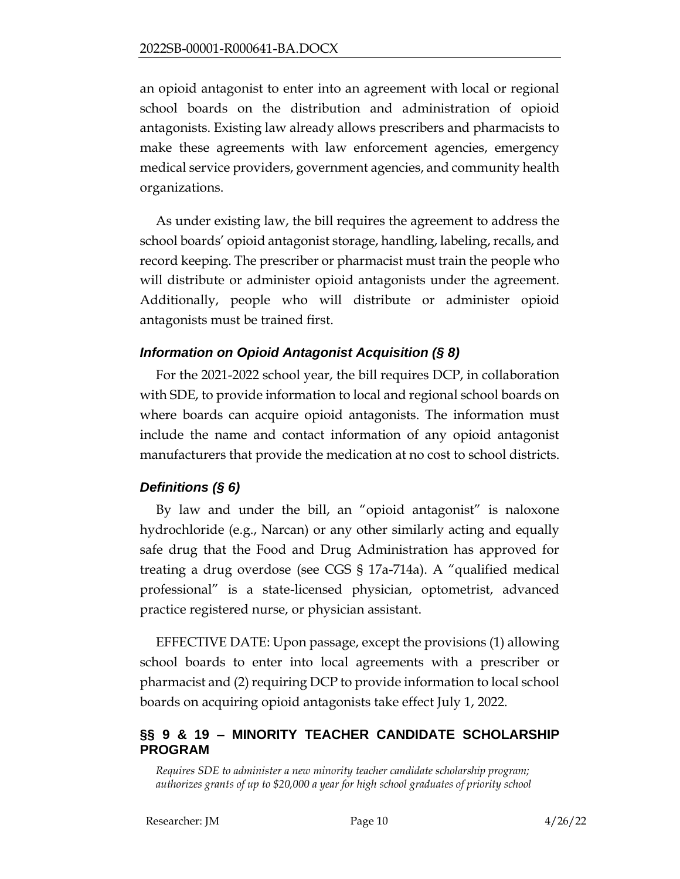an opioid antagonist to enter into an agreement with local or regional school boards on the distribution and administration of opioid antagonists. Existing law already allows prescribers and pharmacists to make these agreements with law enforcement agencies, emergency medical service providers, government agencies, and community health organizations.

As under existing law, the bill requires the agreement to address the school boards' opioid antagonist storage, handling, labeling, recalls, and record keeping. The prescriber or pharmacist must train the people who will distribute or administer opioid antagonists under the agreement. Additionally, people who will distribute or administer opioid antagonists must be trained first.

# *Information on Opioid Antagonist Acquisition (§ 8)*

For the 2021-2022 school year, the bill requires DCP, in collaboration with SDE, to provide information to local and regional school boards on where boards can acquire opioid antagonists. The information must include the name and contact information of any opioid antagonist manufacturers that provide the medication at no cost to school districts.

# *Definitions (§ 6)*

By law and under the bill, an "opioid antagonist" is naloxone hydrochloride (e.g., Narcan) or any other similarly acting and equally safe drug that the Food and Drug Administration has approved for treating a drug overdose (see CGS § 17a-714a). A "qualified medical professional" is a state-licensed physician, optometrist, advanced practice registered nurse, or physician assistant.

EFFECTIVE DATE: Upon passage, except the provisions (1) allowing school boards to enter into local agreements with a prescriber or pharmacist and (2) requiring DCP to provide information to local school boards on acquiring opioid antagonists take effect July 1, 2022.

# <span id="page-9-0"></span>**§§ 9 & 19 – MINORITY TEACHER CANDIDATE SCHOLARSHIP PROGRAM**

<span id="page-9-1"></span>*Requires SDE to administer a new minority teacher candidate scholarship program; authorizes grants of up to \$20,000 a year for high school graduates of priority school*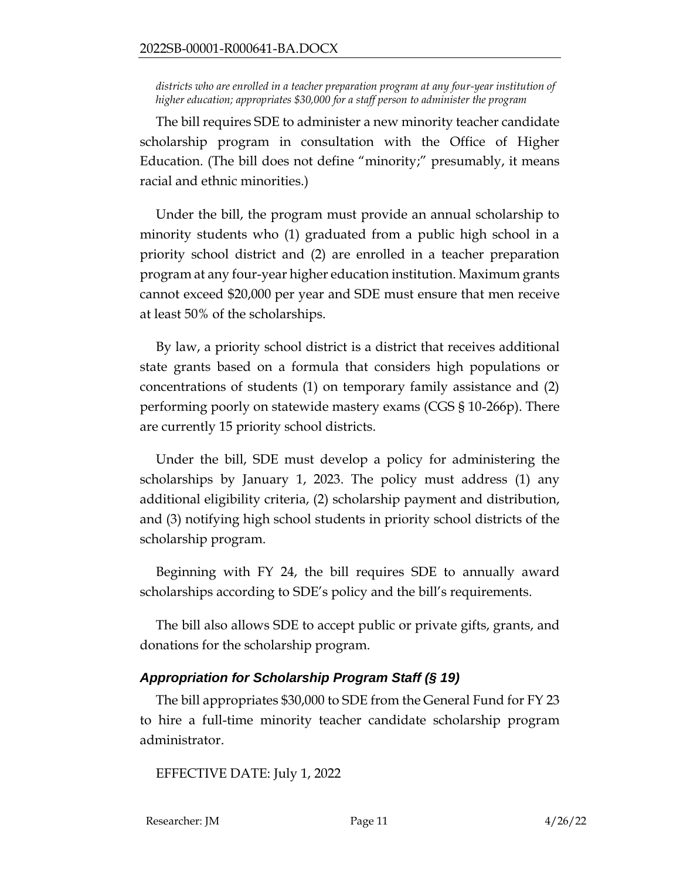*districts who are enrolled in a teacher preparation program at any four-year institution of higher education; appropriates \$30,000 for a staff person to administer the program*

The bill requires SDE to administer a new minority teacher candidate scholarship program in consultation with the Office of Higher Education. (The bill does not define "minority;" presumably, it means racial and ethnic minorities.)

Under the bill, the program must provide an annual scholarship to minority students who (1) graduated from a public high school in a priority school district and (2) are enrolled in a teacher preparation program at any four-year higher education institution. Maximum grants cannot exceed \$20,000 per year and SDE must ensure that men receive at least 50% of the scholarships.

By law, a priority school district is a district that receives additional state grants based on a formula that considers high populations or concentrations of students (1) on temporary family assistance and (2) performing poorly on statewide mastery exams (CGS § 10-266p). There are currently 15 priority school districts.

Under the bill, SDE must develop a policy for administering the scholarships by January 1, 2023. The policy must address (1) any additional eligibility criteria, (2) scholarship payment and distribution, and (3) notifying high school students in priority school districts of the scholarship program.

Beginning with FY 24, the bill requires SDE to annually award scholarships according to SDE's policy and the bill's requirements.

The bill also allows SDE to accept public or private gifts, grants, and donations for the scholarship program.

# *Appropriation for Scholarship Program Staff (§ 19)*

The bill appropriates \$30,000 to SDE from the General Fund for FY 23 to hire a full-time minority teacher candidate scholarship program administrator.

EFFECTIVE DATE: July 1, 2022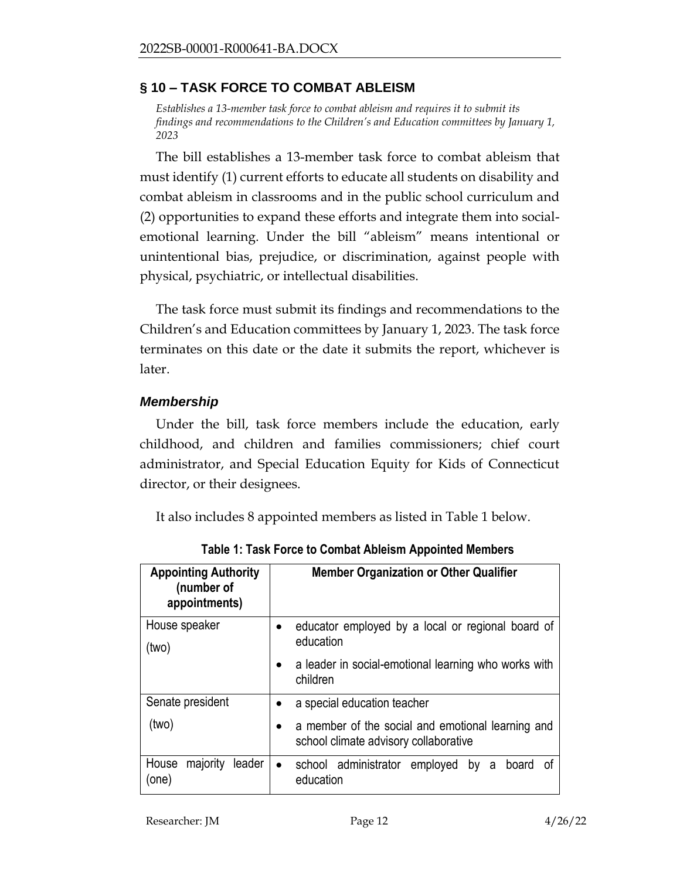## <span id="page-11-0"></span>**§ 10 – TASK FORCE TO COMBAT ABLEISM**

<span id="page-11-1"></span>*Establishes a 13-member task force to combat ableism and requires it to submit its findings and recommendations to the Children's and Education committees by January 1, 2023*

The bill establishes a 13-member task force to combat ableism that must identify (1) current efforts to educate all students on disability and combat ableism in classrooms and in the public school curriculum and (2) opportunities to expand these efforts and integrate them into socialemotional learning. Under the bill "ableism" means intentional or unintentional bias, prejudice, or discrimination, against people with physical, psychiatric, or intellectual disabilities.

The task force must submit its findings and recommendations to the Children's and Education committees by January 1, 2023. The task force terminates on this date or the date it submits the report, whichever is later.

### *Membership*

Under the bill, task force members include the education, early childhood, and children and families commissioners; chief court administrator, and Special Education Equity for Kids of Connecticut director, or their designees.

It also includes 8 appointed members as listed in Table 1 below.

| <b>Appointing Authority</b><br>(number of<br>appointments) | <b>Member Organization or Other Qualifier</b>                                              |
|------------------------------------------------------------|--------------------------------------------------------------------------------------------|
| House speaker                                              | educator employed by a local or regional board of                                          |
| (two)                                                      | education                                                                                  |
|                                                            | a leader in social-emotional learning who works with<br>children                           |
| Senate president                                           | a special education teacher                                                                |
| (two)                                                      | a member of the social and emotional learning and<br>school climate advisory collaborative |
| leader<br>majority<br>House<br>(one)                       | school administrator employed<br>board<br>by a<br>_ot<br>$\bullet$<br>education            |

**Table 1: Task Force to Combat Ableism Appointed Members**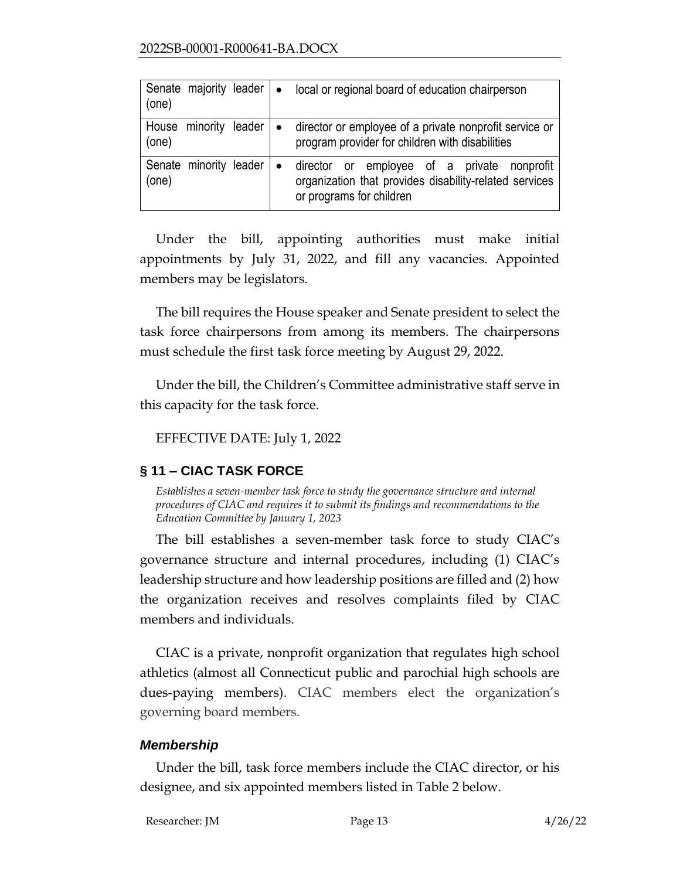| Senate majority leader $\bullet$<br>(one) |              | local or regional board of education chairperson                                                                                  |
|-------------------------------------------|--------------|-----------------------------------------------------------------------------------------------------------------------------------|
| House<br>minority leader<br>(one)         | $\mathbf{L}$ | director or employee of a private nonprofit service or<br>program provider for children with disabilities                         |
| Senate minority leader<br>(one)           |              | director or employee of a private nonprofit<br>organization that provides disability-related services<br>or programs for children |

Under the bill, appointing authorities must make initial appointments by July 31, 2022, and fill any vacancies. Appointed members may be legislators.

The bill requires the House speaker and Senate president to select the task force chairpersons from among its members. The chairpersons must schedule the first task force meeting by August 29, 2022.

Under the bill, the Children's Committee administrative staff serve in this capacity for the task force.

EFFECTIVE DATE: July 1, 2022

# <span id="page-12-0"></span>**§ 11 – CIAC TASK FORCE**

<span id="page-12-1"></span>*Establishes a seven-member task force to study the governance structure and internal procedures of CIAC and requires it to submit its findings and recommendations to the Education Committee by January 1, 2023*

The bill establishes a seven-member task force to study CIAC's governance structure and internal procedures, including (1) CIAC's leadership structure and how leadership positions are filled and (2) how the organization receives and resolves complaints filed by CIAC members and individuals.

CIAC is a private, nonprofit organization that regulates high school athletics (almost all Connecticut public and parochial high schools are dues-paying members). CIAC members elect the organization's governing board members.

# *Membership*

Under the bill, task force members include the CIAC director, or his designee, and six appointed members listed in Table 2 below.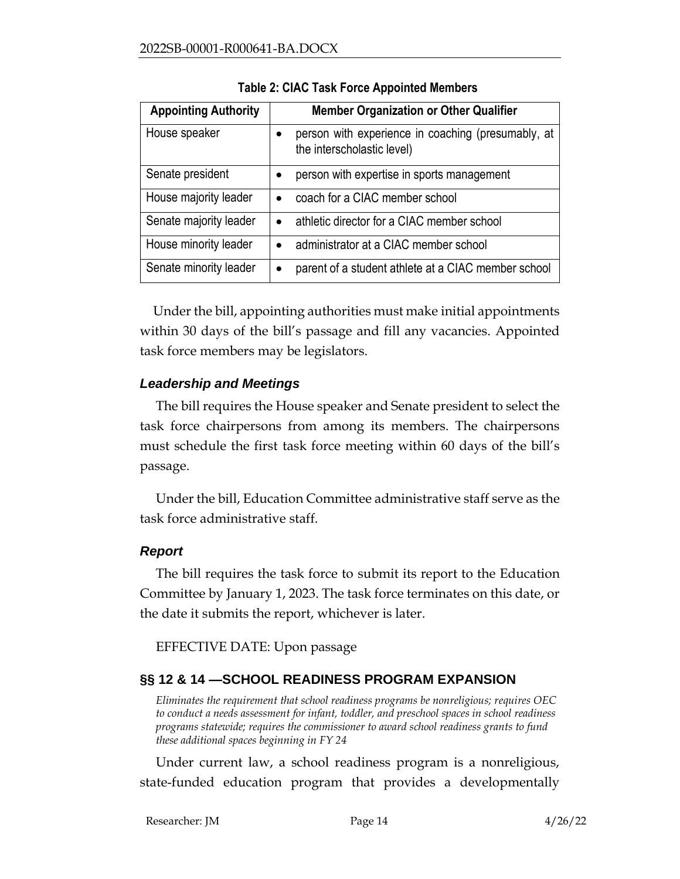| <b>Appointing Authority</b> | <b>Member Organization or Other Qualifier</b>                                    |
|-----------------------------|----------------------------------------------------------------------------------|
| House speaker               | person with experience in coaching (presumably, at<br>the interscholastic level) |
| Senate president            | person with expertise in sports management<br>$\bullet$                          |
| House majority leader       | coach for a CIAC member school<br>$\bullet$                                      |
| Senate majority leader      | athletic director for a CIAC member school<br>$\bullet$                          |
| House minority leader       | administrator at a CIAC member school                                            |
| Senate minority leader      | parent of a student athlete at a CIAC member school                              |

**Table 2: CIAC Task Force Appointed Members**

 Under the bill, appointing authorities must make initial appointments within 30 days of the bill's passage and fill any vacancies. Appointed task force members may be legislators.

# *Leadership and Meetings*

The bill requires the House speaker and Senate president to select the task force chairpersons from among its members. The chairpersons must schedule the first task force meeting within 60 days of the bill's passage.

Under the bill, Education Committee administrative staff serve as the task force administrative staff.

# *Report*

The bill requires the task force to submit its report to the Education Committee by January 1, 2023. The task force terminates on this date, or the date it submits the report, whichever is later.

EFFECTIVE DATE: Upon passage

# <span id="page-13-0"></span>**§§ 12 & 14 —SCHOOL READINESS PROGRAM EXPANSION**

<span id="page-13-1"></span>*Eliminates the requirement that school readiness programs be nonreligious; requires OEC to conduct a needs assessment for infant, toddler, and preschool spaces in school readiness programs statewide; requires the commissioner to award school readiness grants to fund these additional spaces beginning in FY 24*

Under current law, a school readiness program is a nonreligious, state-funded education program that provides a developmentally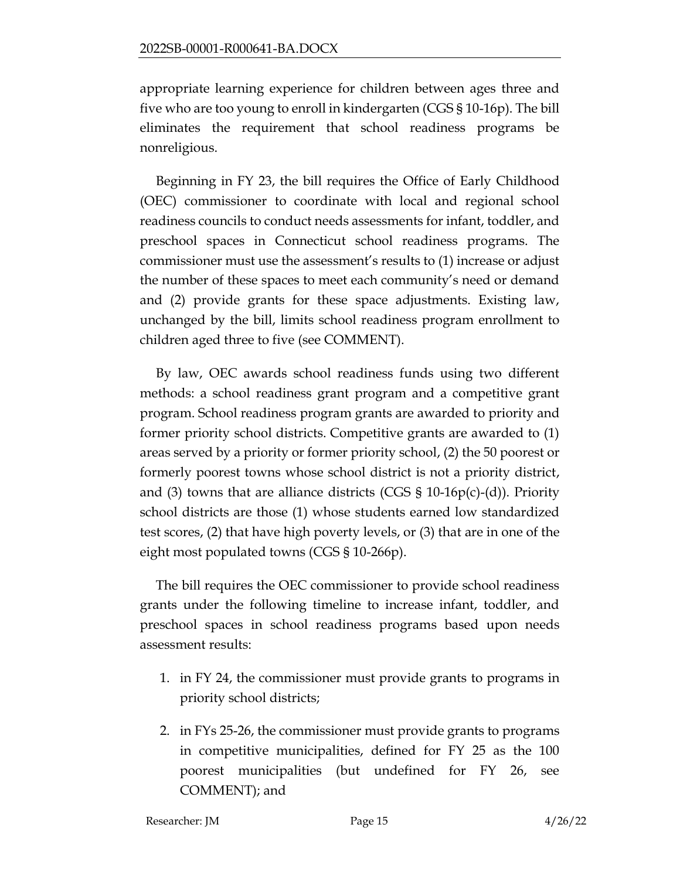appropriate learning experience for children between ages three and five who are too young to enroll in kindergarten (CGS § 10-16p). The bill eliminates the requirement that school readiness programs be nonreligious.

Beginning in FY 23, the bill requires the Office of Early Childhood (OEC) commissioner to coordinate with local and regional school readiness councils to conduct needs assessments for infant, toddler, and preschool spaces in Connecticut school readiness programs. The commissioner must use the assessment's results to (1) increase or adjust the number of these spaces to meet each community's need or demand and (2) provide grants for these space adjustments. Existing law, unchanged by the bill, limits school readiness program enrollment to children aged three to five (see COMMENT).

By law, OEC awards school readiness funds using two different methods: a school readiness grant program and a competitive grant program. School readiness program grants are awarded to priority and former priority school districts. Competitive grants are awarded to (1) areas served by a priority or former priority school, (2) the 50 poorest or formerly poorest towns whose school district is not a priority district, and (3) towns that are alliance districts (CGS § 10-16 $p(c)$ -(d)). Priority school districts are those (1) whose students earned low standardized test scores, (2) that have high poverty levels, or (3) that are in one of the eight most populated towns (CGS § 10-266p).

The bill requires the OEC commissioner to provide school readiness grants under the following timeline to increase infant, toddler, and preschool spaces in school readiness programs based upon needs assessment results:

- 1. in FY 24, the commissioner must provide grants to programs in priority school districts;
- 2. in FYs 25-26, the commissioner must provide grants to programs in competitive municipalities, defined for FY 25 as the 100 poorest municipalities (but undefined for FY 26, see COMMENT); and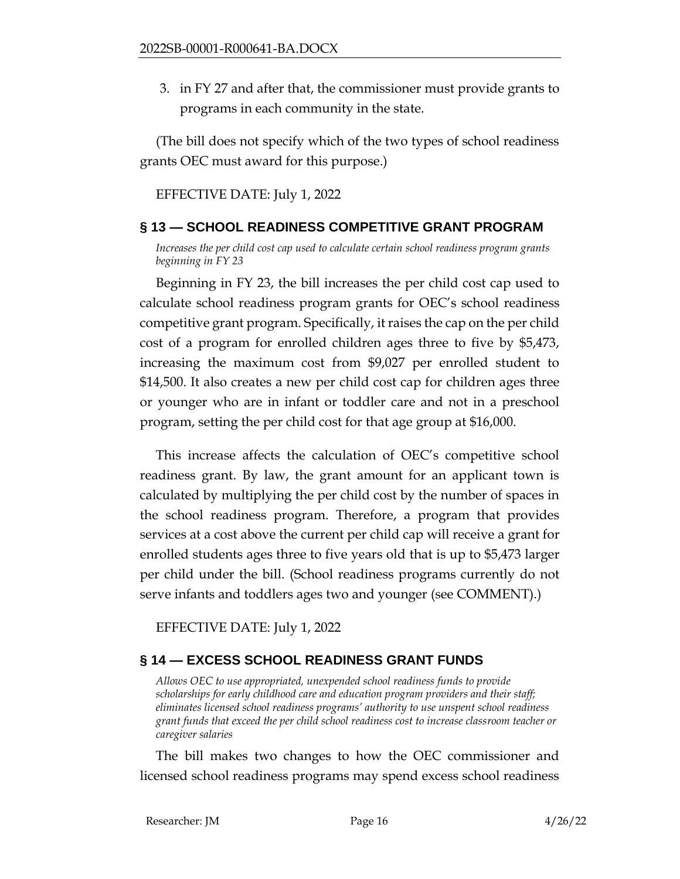3. in FY 27 and after that, the commissioner must provide grants to programs in each community in the state.

(The bill does not specify which of the two types of school readiness grants OEC must award for this purpose.)

EFFECTIVE DATE: July 1, 2022

## <span id="page-15-0"></span>**§ 13 — SCHOOL READINESS COMPETITIVE GRANT PROGRAM**

<span id="page-15-1"></span>*Increases the per child cost cap used to calculate certain school readiness program grants beginning in FY 23*

Beginning in FY 23, the bill increases the per child cost cap used to calculate school readiness program grants for OEC's school readiness competitive grant program. Specifically, it raises the cap on the per child cost of a program for enrolled children ages three to five by \$5,473, increasing the maximum cost from \$9,027 per enrolled student to \$14,500. It also creates a new per child cost cap for children ages three or younger who are in infant or toddler care and not in a preschool program, setting the per child cost for that age group at \$16,000.

This increase affects the calculation of OEC's competitive school readiness grant. By law, the grant amount for an applicant town is calculated by multiplying the per child cost by the number of spaces in the school readiness program. Therefore, a program that provides services at a cost above the current per child cap will receive a grant for enrolled students ages three to five years old that is up to \$5,473 larger per child under the bill. (School readiness programs currently do not serve infants and toddlers ages two and younger (see COMMENT).)

EFFECTIVE DATE: July 1, 2022

# <span id="page-15-2"></span>**§ 14 — EXCESS SCHOOL READINESS GRANT FUNDS**

<span id="page-15-3"></span>*Allows OEC to use appropriated, unexpended school readiness funds to provide scholarships for early childhood care and education program providers and their staff; eliminates licensed school readiness programs' authority to use unspent school readiness grant funds that exceed the per child school readiness cost to increase classroom teacher or caregiver salaries*

The bill makes two changes to how the OEC commissioner and licensed school readiness programs may spend excess school readiness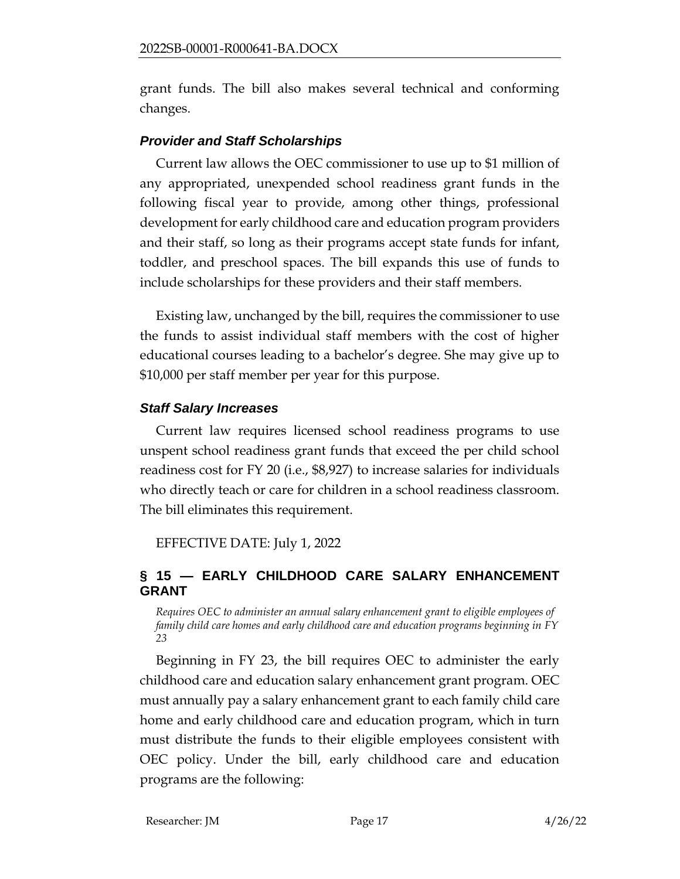grant funds. The bill also makes several technical and conforming changes.

# *Provider and Staff Scholarships*

Current law allows the OEC commissioner to use up to \$1 million of any appropriated, unexpended school readiness grant funds in the following fiscal year to provide, among other things, professional development for early childhood care and education program providers and their staff, so long as their programs accept state funds for infant, toddler, and preschool spaces. The bill expands this use of funds to include scholarships for these providers and their staff members.

Existing law, unchanged by the bill, requires the commissioner to use the funds to assist individual staff members with the cost of higher educational courses leading to a bachelor's degree. She may give up to \$10,000 per staff member per year for this purpose.

## *Staff Salary Increases*

Current law requires licensed school readiness programs to use unspent school readiness grant funds that exceed the per child school readiness cost for FY 20 (i.e., \$8,927) to increase salaries for individuals who directly teach or care for children in a school readiness classroom. The bill eliminates this requirement.

EFFECTIVE DATE: July 1, 2022

# <span id="page-16-0"></span>**§ 15 — EARLY CHILDHOOD CARE SALARY ENHANCEMENT GRANT**

<span id="page-16-1"></span>*Requires OEC to administer an annual salary enhancement grant to eligible employees of family child care homes and early childhood care and education programs beginning in FY 23*

Beginning in FY 23, the bill requires OEC to administer the early childhood care and education salary enhancement grant program. OEC must annually pay a salary enhancement grant to each family child care home and early childhood care and education program, which in turn must distribute the funds to their eligible employees consistent with OEC policy. Under the bill, early childhood care and education programs are the following: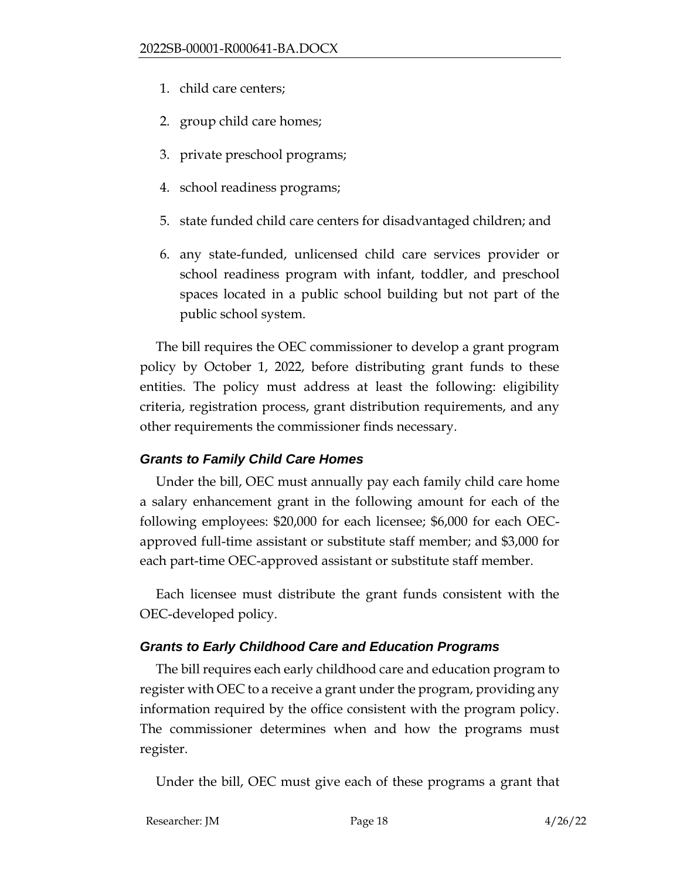- 1. child care centers;
- 2. group child care homes;
- 3. private preschool programs;
- 4. school readiness programs;
- 5. state funded child care centers for disadvantaged children; and
- 6. any state-funded, unlicensed child care services provider or school readiness program with infant, toddler, and preschool spaces located in a public school building but not part of the public school system.

The bill requires the OEC commissioner to develop a grant program policy by October 1, 2022, before distributing grant funds to these entities. The policy must address at least the following: eligibility criteria, registration process, grant distribution requirements, and any other requirements the commissioner finds necessary.

# *Grants to Family Child Care Homes*

Under the bill, OEC must annually pay each family child care home a salary enhancement grant in the following amount for each of the following employees: \$20,000 for each licensee; \$6,000 for each OECapproved full-time assistant or substitute staff member; and \$3,000 for each part-time OEC-approved assistant or substitute staff member.

Each licensee must distribute the grant funds consistent with the OEC-developed policy.

# *Grants to Early Childhood Care and Education Programs*

The bill requires each early childhood care and education program to register with OEC to a receive a grant under the program, providing any information required by the office consistent with the program policy. The commissioner determines when and how the programs must register.

Under the bill, OEC must give each of these programs a grant that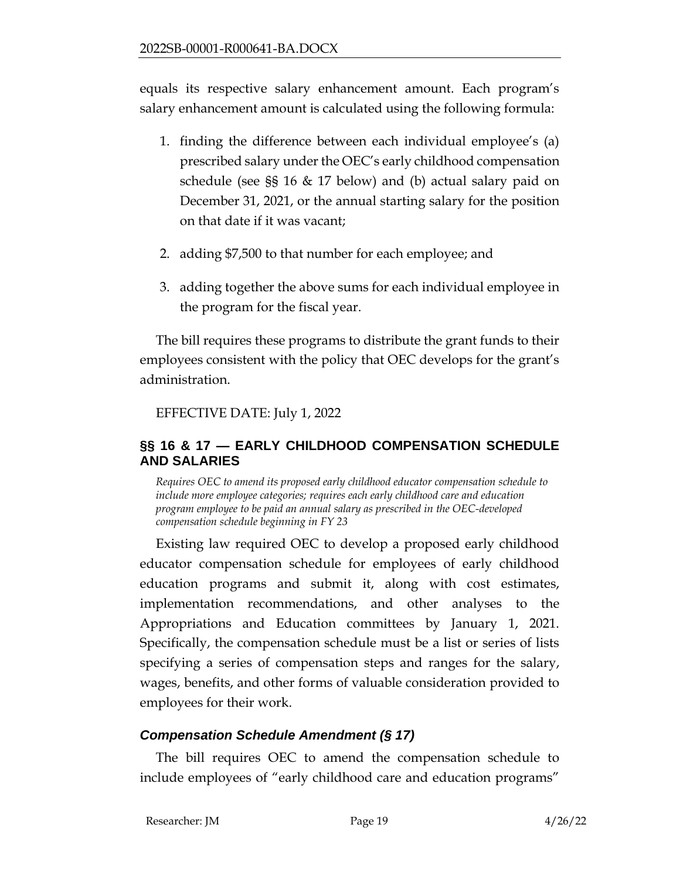equals its respective salary enhancement amount. Each program's salary enhancement amount is calculated using the following formula:

- 1. finding the difference between each individual employee's (a) prescribed salary under the OEC's early childhood compensation schedule (see §§ 16 & 17 below) and (b) actual salary paid on December 31, 2021, or the annual starting salary for the position on that date if it was vacant;
- 2. adding \$7,500 to that number for each employee; and
- 3. adding together the above sums for each individual employee in the program for the fiscal year.

The bill requires these programs to distribute the grant funds to their employees consistent with the policy that OEC develops for the grant's administration.

# EFFECTIVE DATE: July 1, 2022

# <span id="page-18-0"></span>**§§ 16 & 17 — EARLY CHILDHOOD COMPENSATION SCHEDULE AND SALARIES**

<span id="page-18-1"></span>*Requires OEC to amend its proposed early childhood educator compensation schedule to include more employee categories; requires each early childhood care and education program employee to be paid an annual salary as prescribed in the OEC-developed compensation schedule beginning in FY 23*

Existing law required OEC to develop a proposed early childhood educator compensation schedule for employees of early childhood education programs and submit it, along with cost estimates, implementation recommendations, and other analyses to the Appropriations and Education committees by January 1, 2021. Specifically, the compensation schedule must be a list or series of lists specifying a series of compensation steps and ranges for the salary, wages, benefits, and other forms of valuable consideration provided to employees for their work.

# *Compensation Schedule Amendment (§ 17)*

The bill requires OEC to amend the compensation schedule to include employees of "early childhood care and education programs"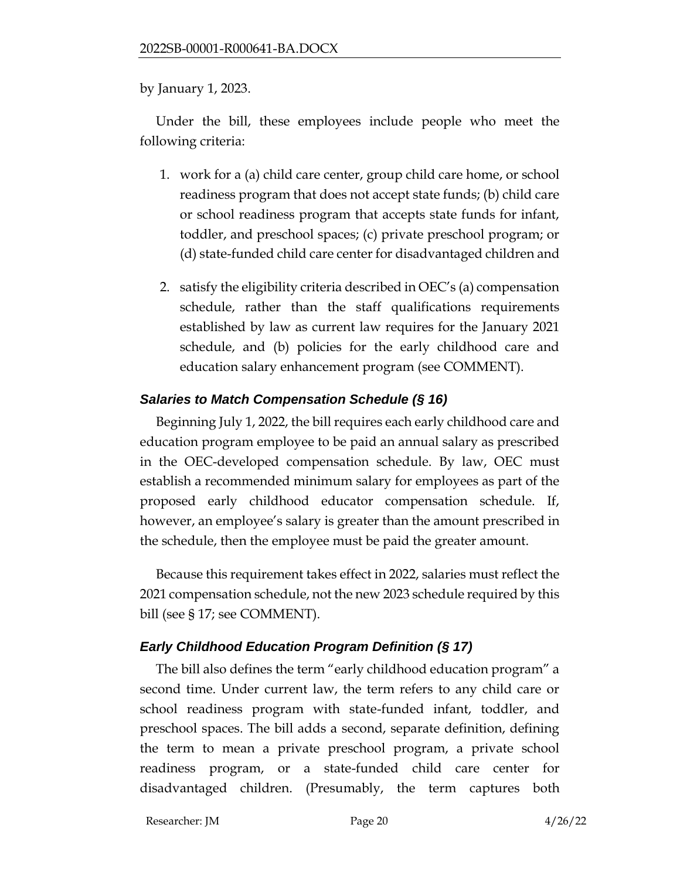by January 1, 2023.

Under the bill, these employees include people who meet the following criteria:

- 1. work for a (a) child care center, group child care home, or school readiness program that does not accept state funds; (b) child care or school readiness program that accepts state funds for infant, toddler, and preschool spaces; (c) private preschool program; or (d) state-funded child care center for disadvantaged children and
- 2. satisfy the eligibility criteria described in OEC's (a) compensation schedule, rather than the staff qualifications requirements established by law as current law requires for the January 2021 schedule, and (b) policies for the early childhood care and education salary enhancement program (see COMMENT).

# *Salaries to Match Compensation Schedule (§ 16)*

Beginning July 1, 2022, the bill requires each early childhood care and education program employee to be paid an annual salary as prescribed in the OEC-developed compensation schedule. By law, OEC must establish a recommended minimum salary for employees as part of the proposed early childhood educator compensation schedule. If, however, an employee's salary is greater than the amount prescribed in the schedule, then the employee must be paid the greater amount.

Because this requirement takes effect in 2022, salaries must reflect the 2021 compensation schedule, not the new 2023 schedule required by this bill (see § 17; see COMMENT).

# *Early Childhood Education Program Definition (§ 17)*

The bill also defines the term "early childhood education program" a second time. Under current law, the term refers to any child care or school readiness program with state-funded infant, toddler, and preschool spaces. The bill adds a second, separate definition, defining the term to mean a private preschool program, a private school readiness program, or a state-funded child care center for disadvantaged children. (Presumably, the term captures both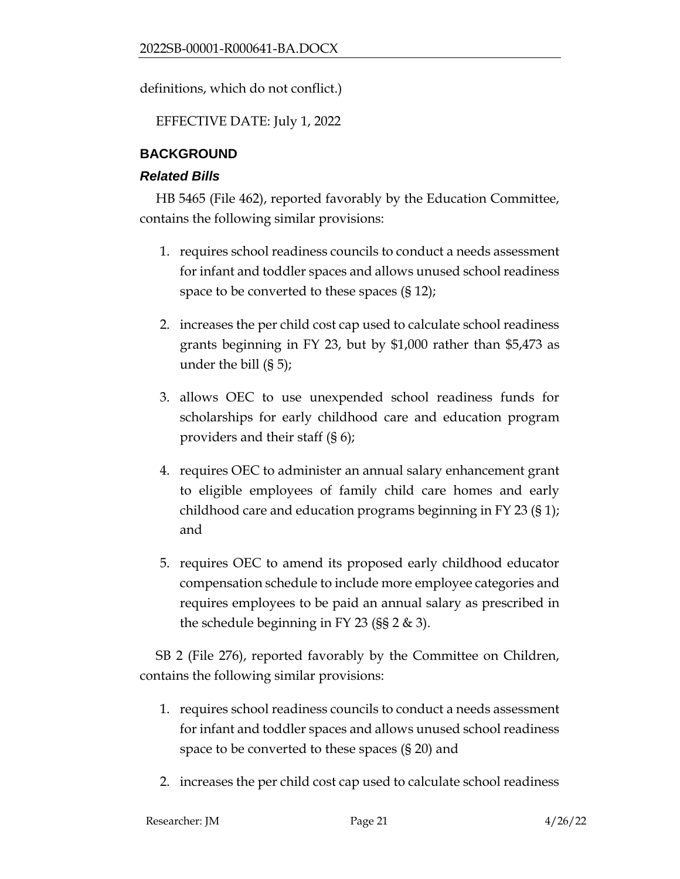definitions, which do not conflict.)

EFFECTIVE DATE: July 1, 2022

# <span id="page-20-0"></span>**BACKGROUND**

# *Related Bills*

HB 5465 (File 462), reported favorably by the Education Committee, contains the following similar provisions:

- 1. requires school readiness councils to conduct a needs assessment for infant and toddler spaces and allows unused school readiness space to be converted to these spaces (§ 12);
- 2. increases the per child cost cap used to calculate school readiness grants beginning in FY 23, but by \$1,000 rather than \$5,473 as under the bill (§ 5);
- 3. allows OEC to use unexpended school readiness funds for scholarships for early childhood care and education program providers and their staff (§ 6);
- 4. requires OEC to administer an annual salary enhancement grant to eligible employees of family child care homes and early childhood care and education programs beginning in FY 23 (§ 1); and
- 5. requires OEC to amend its proposed early childhood educator compensation schedule to include more employee categories and requires employees to be paid an annual salary as prescribed in the schedule beginning in FY 23 (§§ 2 & 3).

SB 2 (File 276), reported favorably by the Committee on Children, contains the following similar provisions:

- 1. requires school readiness councils to conduct a needs assessment for infant and toddler spaces and allows unused school readiness space to be converted to these spaces (§ 20) and
- 2. increases the per child cost cap used to calculate school readiness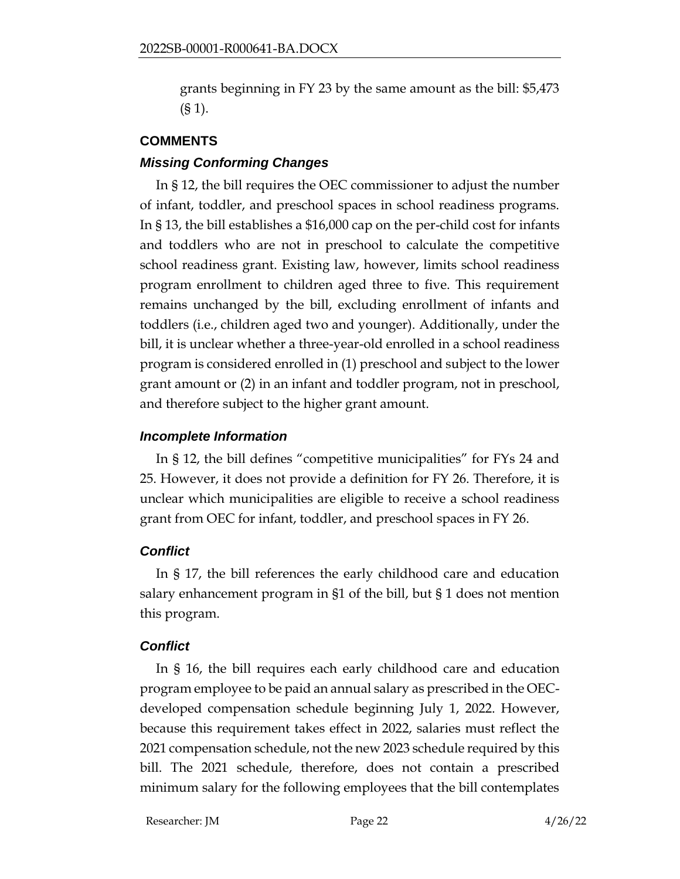grants beginning in FY 23 by the same amount as the bill: \$5,473 (§ 1).

## <span id="page-21-0"></span>**COMMENTS**

## *Missing Conforming Changes*

In § 12, the bill requires the OEC commissioner to adjust the number of infant, toddler, and preschool spaces in school readiness programs. In § 13, the bill establishes a \$16,000 cap on the per-child cost for infants and toddlers who are not in preschool to calculate the competitive school readiness grant. Existing law, however, limits school readiness program enrollment to children aged three to five. This requirement remains unchanged by the bill, excluding enrollment of infants and toddlers (i.e., children aged two and younger). Additionally, under the bill, it is unclear whether a three-year-old enrolled in a school readiness program is considered enrolled in (1) preschool and subject to the lower grant amount or (2) in an infant and toddler program, not in preschool, and therefore subject to the higher grant amount.

### *Incomplete Information*

In § 12, the bill defines "competitive municipalities" for FYs 24 and 25. However, it does not provide a definition for FY 26. Therefore, it is unclear which municipalities are eligible to receive a school readiness grant from OEC for infant, toddler, and preschool spaces in FY 26.

# *Conflict*

In § 17, the bill references the early childhood care and education salary enhancement program in §1 of the bill, but § 1 does not mention this program.

# *Conflict*

In § 16, the bill requires each early childhood care and education program employee to be paid an annual salary as prescribed in the OECdeveloped compensation schedule beginning July 1, 2022. However, because this requirement takes effect in 2022, salaries must reflect the 2021 compensation schedule, not the new 2023 schedule required by this bill. The 2021 schedule, therefore, does not contain a prescribed minimum salary for the following employees that the bill contemplates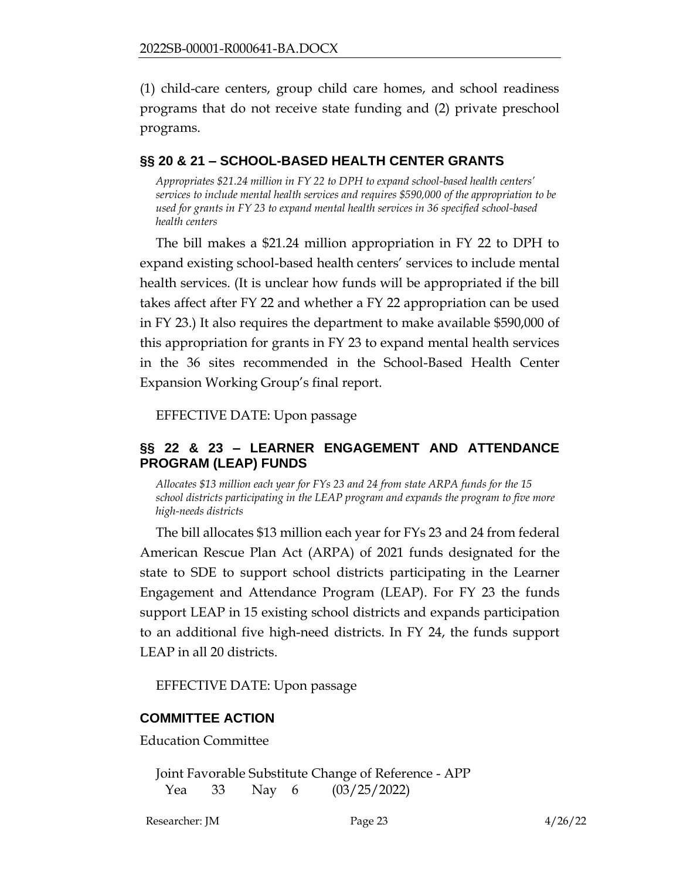(1) child-care centers, group child care homes, and school readiness programs that do not receive state funding and (2) private preschool programs.

## <span id="page-22-0"></span>**§§ 20 & 21 – SCHOOL-BASED HEALTH CENTER GRANTS**

<span id="page-22-1"></span>*Appropriates \$21.24 million in FY 22 to DPH to expand school-based health centers' services to include mental health services and requires \$590,000 of the appropriation to be used for grants in FY 23 to expand mental health services in 36 specified school-based health centers*

The bill makes a \$21.24 million appropriation in FY 22 to DPH to expand existing school-based health centers' services to include mental health services. (It is unclear how funds will be appropriated if the bill takes affect after FY 22 and whether a FY 22 appropriation can be used in FY 23.) It also requires the department to make available \$590,000 of this appropriation for grants in FY 23 to expand mental health services in the 36 sites recommended in the School-Based Health Center Expansion Working Group's final report.

EFFECTIVE DATE: Upon passage

# <span id="page-22-2"></span>**§§ 22 & 23 – LEARNER ENGAGEMENT AND ATTENDANCE PROGRAM (LEAP) FUNDS**

<span id="page-22-3"></span>*Allocates \$13 million each year for FYs 23 and 24 from state ARPA funds for the 15 school districts participating in the LEAP program and expands the program to five more high-needs districts*

The bill allocates \$13 million each year for FYs 23 and 24 from federal American Rescue Plan Act (ARPA) of 2021 funds designated for the state to SDE to support school districts participating in the Learner Engagement and Attendance Program (LEAP). For FY 23 the funds support LEAP in 15 existing school districts and expands participation to an additional five high-need districts. In FY 24, the funds support LEAP in all 20 districts.

EFFECTIVE DATE: Upon passage

# **COMMITTEE ACTION**

Education Committee

Joint Favorable Substitute Change of Reference - APP Yea 33 Nay 6 (03/25/2022)

Researcher: JM Page 23 4/26/22